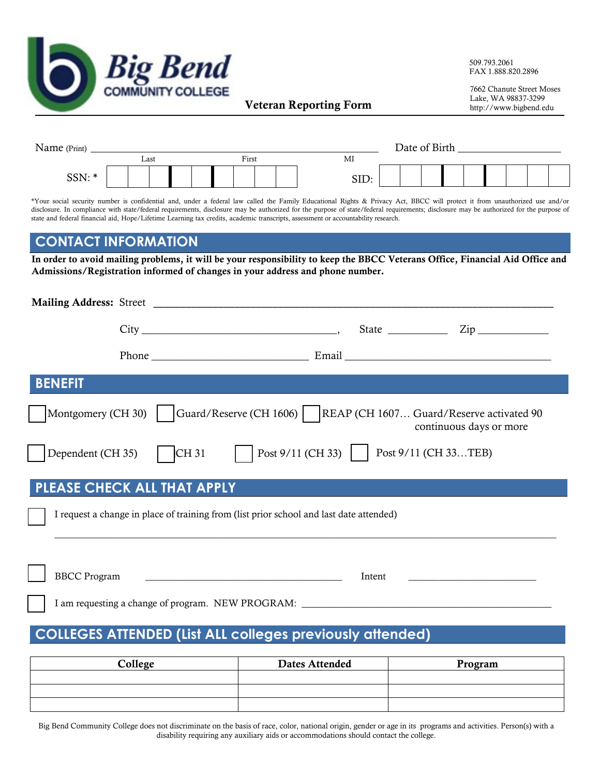

509.793.2061 FAX 1.888.820.2896

7662 Chanute Street Moses Veteran Reporting Form http://www.bigbend.edu

| Name (Print) |  |      |  |  |  | Date of Birth |  |      |  |  |  |  |  |  |  |  |
|--------------|--|------|--|--|--|---------------|--|------|--|--|--|--|--|--|--|--|
|              |  | Last |  |  |  | First         |  | MI   |  |  |  |  |  |  |  |  |
| SSN:*        |  |      |  |  |  |               |  | SID: |  |  |  |  |  |  |  |  |

\*Your social security number is confidential and, under a federal law called the Family Educational Rights & Privacy Act, BBCC will protect it from unauthorized use and/or disclosure. In compliance with state/federal requirements, disclosure may be authorized for the purpose of state/federal requirements; disclosure may be authorized for the purpose of state and federal financial aid, Hope/Lifetime Learning tax credits, academic transcripts, assessment or accountability research.

## **CONTACT INFORMATION**

In order to avoid mailing problems, it will be your responsibility to keep the BBCC Veterans Office, Financial Aid Office and Admissions/Registration informed of changes in your address and phone number.

| <b>Mailing Address: Street</b> |                                                                                                      |        |                         |
|--------------------------------|------------------------------------------------------------------------------------------------------|--------|-------------------------|
|                                | $City$ ${\color{red} 2ip$ ${\color{red} 2ip$ ${\color{red} 2ip$                                      |        |                         |
|                                |                                                                                                      |        |                         |
| <b>BENEFIT</b>                 |                                                                                                      |        |                         |
|                                | Montgomery (CH 30)   Guard/Reserve (CH 1606)   REAP (CH 1607 Guard/Reserve activated 90              |        | continuous days or more |
|                                | Dependent (CH 35) CH 31   Post 9/11 (CH 33)   Post 9/11 (CH 33TEB)                                   |        |                         |
| PLEASE CHECK ALL THAT APPLY    |                                                                                                      |        |                         |
|                                | I request a change in place of training from (list prior school and last date attended)              |        |                         |
|                                |                                                                                                      |        |                         |
| <b>BBCC</b> Program            | <u> 1980 - Jan Barbara Barbara, manazarta bashka a shekara 1980 - Andrea San Barbara a Shekara A</u> | Intent |                         |
|                                | I am requesting a change of program. NEW PROGRAM: ______________________________                     |        |                         |
|                                | <b>COLLEGES ATTENDED (List ALL colleges previously attended)</b>                                     |        |                         |
|                                |                                                                                                      |        |                         |
| College                        | <b>Dates Attended</b>                                                                                |        | Program                 |

| College | Dates Attended | Program |
|---------|----------------|---------|
|         |                |         |
|         |                |         |
|         |                |         |

Big Bend Community College does not discriminate on the basis of race, color, national origin, gender or age in its programs and activities. Person(s) with a disability requiring any auxiliary aids or accommodations should contact the college.